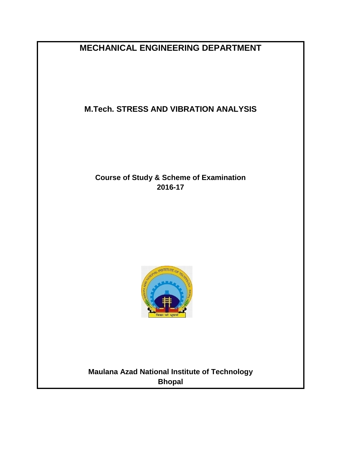**MECHANICAL ENGINEERING DEPARTMENT**

# **M.Tech. STRESS AND VIBRATION ANALYSIS**

# **Course of Study & Scheme of Examination 2016-17**



# **Maulana Azad National Institute of Technology Bhopal**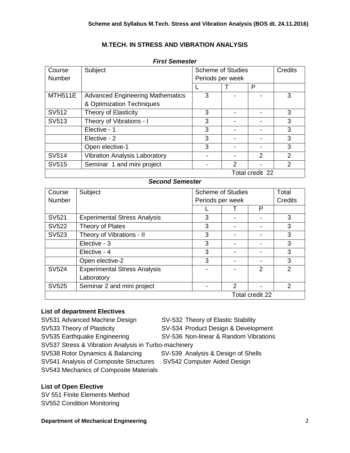## **M.TECH. IN STRESS AND VIBRATION ANALYSIS**

| Course         | Subject                                 | <b>Scheme of Studies</b> |               | <b>Credits</b>  |                |
|----------------|-----------------------------------------|--------------------------|---------------|-----------------|----------------|
| <b>Number</b>  |                                         | Periods per week         |               |                 |                |
|                |                                         |                          |               | P               |                |
| <b>MTH511E</b> | <b>Advanced Engineering Mathematics</b> | 3                        |               |                 | 3              |
|                | & Optimization Techniques               |                          |               |                 |                |
| SV512          | <b>Theory of Elasticity</b>             | 3                        |               |                 | 3              |
| SV513          | Theory of Vibrations - I                | 3                        |               |                 | 3              |
|                | Elective - 1                            | 3                        |               |                 | 3              |
|                | Elective - 2                            | 3                        |               |                 | 3              |
|                | Open elective-1                         | 3                        |               |                 | 3              |
| SV514          | <b>Vibration Analysis Laboratory</b>    |                          |               | $\mathcal{P}$   | 2              |
| SV515          | Seminar 1 and mini project              |                          | $\mathcal{P}$ |                 | $\overline{2}$ |
|                |                                         |                          |               | Total credit 22 |                |

#### *First Semester*

## *Second Semester*

| Course          | Subject                             | <b>Scheme of Studies</b> |   |                | Total         |
|-----------------|-------------------------------------|--------------------------|---|----------------|---------------|
| <b>Number</b>   |                                     | Periods per week         |   | Credits        |               |
|                 |                                     |                          |   | Р              |               |
| SV521           | <b>Experimental Stress Analysis</b> | 3                        |   |                | 3             |
| SV522           | Theory of Plates                    | 3                        |   |                | 3             |
| SV523           | Theory of Vibrations - II           | 3                        |   |                | 3             |
|                 | Elective - 3                        | 3                        |   |                | 3             |
|                 | Elective - 4                        | 3                        |   |                | 3             |
|                 | Open elective-2                     | 3                        |   |                | 3             |
| <b>SV524</b>    | <b>Experimental Stress Analysis</b> |                          |   | $\mathfrak{p}$ | $\mathcal{P}$ |
|                 | Laboratory                          |                          |   |                |               |
| SV525           | Seminar 2 and mini project          |                          | 2 |                | $\mathcal{P}$ |
| Total credit 22 |                                     |                          |   |                |               |

#### **List of department Electives**

SV531 Advanced Machine Design SV-532 Theory of Elastic Stability SV533 Theory of Plasticity SV-534 Product Design & Development SV535 Earthquake Engineering SV-536 Non-linear & Random Vibrations SV537 Stress & Vibration Analysis in Turbo-machinery SV538 Rotor Dynamics & Balancing SV-539 Analysis & Design of Shells SV541 Analysis of Composite Structures SV542 Computer Aided Design SV543 Mechanics of Composite Materials

## **List of Open Elective**

SV 551 Finite Elements Method SV552 Condition Monitoring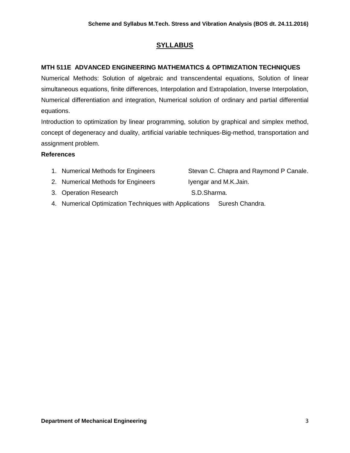## **SYLLABUS**

## **MTH 511E ADVANCED ENGINEERING MATHEMATICS & OPTIMIZATION TECHNIQUES**

Numerical Methods: Solution of algebraic and transcendental equations, Solution of linear simultaneous equations, finite differences, Interpolation and Extrapolation, Inverse Interpolation, Numerical differentiation and integration, Numerical solution of ordinary and partial differential equations.

Introduction to optimization by linear programming, solution by graphical and simplex method, concept of degeneracy and duality, artificial variable techniques-Big-method, transportation and assignment problem.

- 1. Numerical Methods for Engineers Stevan C. Chapra and Raymond P Canale. 2. Numerical Methods for Engineers Iyengar and M.K.Jain. 3. Operation Research S.D.Sharma.
- 4. Numerical Optimization Techniques with Applications Suresh Chandra.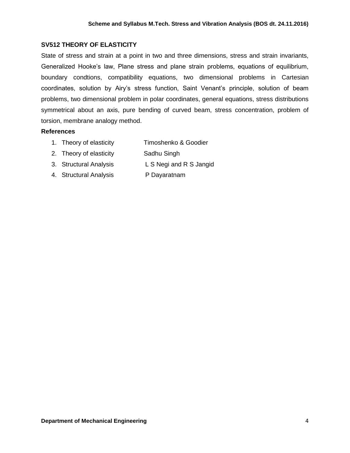## **SV512 THEORY OF ELASTICITY**

State of stress and strain at a point in two and three dimensions, stress and strain invariants, Generalized Hooke's law, Plane stress and plane strain problems, equations of equilibrium, boundary condtions, compatibility equations, two dimensional problems in Cartesian coordinates, solution by Airy's stress function, Saint Venant's principle, solution of beam problems, two dimensional problem in polar coordinates, general equations, stress distributions symmetrical about an axis, pure bending of curved beam, stress concentration, problem of torsion, membrane analogy method.

- 1. Theory of elasticity Timoshenko & Goodier
- 2. Theory of elasticity Sadhu Singh
- 3. Structural Analysis L S Negi and R S Jangid
- 4. Structural Analysis P Dayaratnam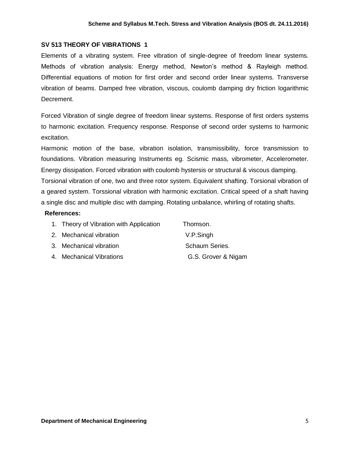#### **SV 513 THEORY OF VIBRATIONS 1**

Elements of a vibrating system. Free vibration of single-degree of freedom linear systems. Methods of vibration analysis: Energy method, Newton's method & Rayleigh method. Differential equations of motion for first order and second order linear systems. Transverse vibration of beams. Damped free vibration, viscous, coulomb damping dry friction logarithmic Decrement.

Forced Vibration of single degree of freedom linear systems. Response of first orders systems to harmonic excitation. Frequency response. Response of second order systems to harmonic excitation.

Harmonic motion of the base, vibration isolation, transmissibility, force transmission to foundations. Vibration measuring Instruments eg. Scismic mass, vibrometer, Accelerometer. Energy dissipation. Forced vibration with coulomb hystersis or structural & viscous damping.

Torsional vibration of one, two and three rotor system. Equivalent shafting. Torsional vibration of a geared system. Torssional vibration with harmonic excitation. Critical speed of a shaft having a single disc and multiple disc with damping. Rotating unbalance, whirling of rotating shafts.

- 1. Theory of Vibration with Application Thomson.
- 2. Mechanical vibration V.P.Singh
- 3. Mechanical vibration Schaum Series.
- 4. Mechanical Vibrations G.S. Grover & Nigam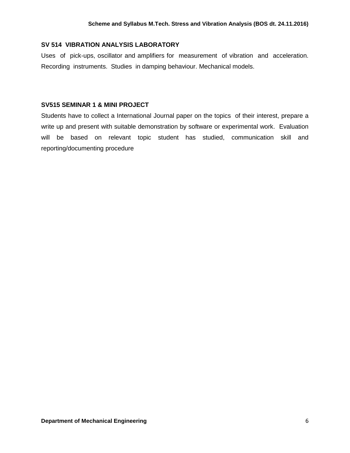#### **SV 514 VIBRATION ANALYSIS LABORATORY**

Uses of pick-ups, oscillator and amplifiers for measurement of vibration and acceleration. Recording instruments. Studies in damping behaviour. Mechanical models.

#### **SV515 SEMINAR 1 & MINI PROJECT**

Students have to collect a International Journal paper on the topics of their interest, prepare a write up and present with suitable demonstration by software or experimental work. Evaluation will be based on relevant topic student has studied, communication skill and reporting/documenting procedure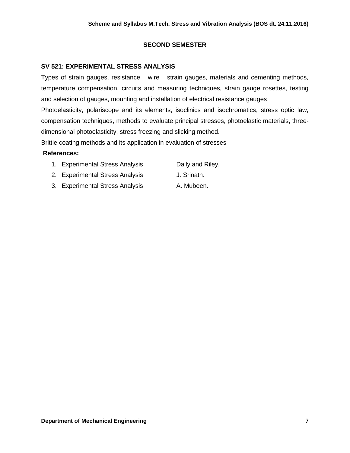## **SECOND SEMESTER**

## **SV 521: EXPERIMENTAL STRESS ANALYSIS**

Types of strain gauges, resistance wire strain gauges, materials and cementing methods, temperature compensation, circuits and measuring techniques, strain gauge rosettes, testing and selection of gauges, mounting and installation of electrical resistance gauges Photoelasticity, polariscope and its elements, isoclinics and isochromatics, stress optic law, compensation techniques, methods to evaluate principal stresses, photoelastic materials, threedimensional photoelasticity, stress freezing and slicking method.

Brittle coating methods and its application in evaluation of stresses

- 1. Experimental Stress Analysis Dally and Riley.
- 2. Experimental Stress Analysis J. Srinath.
- 3. Experimental Stress Analysis A. Mubeen.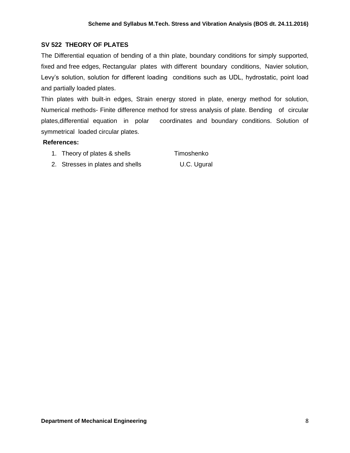## **SV 522 THEORY OF PLATES**

The Differential equation of bending of a thin plate, boundary conditions for simply supported, fixed and free edges, Rectangular plates with different boundary conditions, Navier solution, Levy's solution, solution for different loading conditions such as UDL, hydrostatic, point load and partially loaded plates.

Thin plates with built-in edges, Strain energy stored in plate, energy method for solution, Numerical methods- Finite difference method for stress analysis of plate. Bending of circular plates,differential equation in polar coordinates and boundary conditions. Solution of symmetrical loaded circular plates.

#### **References:**

1. Theory of plates & shells Timoshenko

2. Stresses in plates and shells U.C. Ugural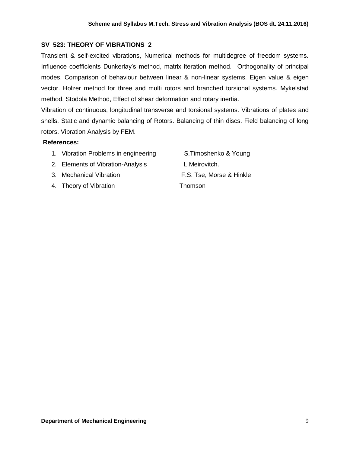## **SV 523: THEORY OF VIBRATIONS 2**

Transient & self-excited vibrations, Numerical methods for multidegree of freedom systems. Influence coefficients Dunkerlay's method, matrix iteration method. Orthogonality of principal modes. Comparison of behaviour between linear & non-linear systems. Eigen value & eigen vector. Holzer method for three and multi rotors and branched torsional systems. Mykelstad method, Stodola Method, Effect of shear deformation and rotary inertia.

Vibration of continuous, longitudinal transverse and torsional systems. Vibrations of plates and shells. Static and dynamic balancing of Rotors. Balancing of thin discs. Field balancing of long rotors. Vibration Analysis by FEM.

#### **References:**

- 1. Vibration Problems in engineering S.Timoshenko & Young
- 2. Elements of Vibration-Analysis L.Meirovitch.
- 
- 4. Theory of Vibration Thomson

3. Mechanical Vibration F.S. Tse, Morse & Hinkle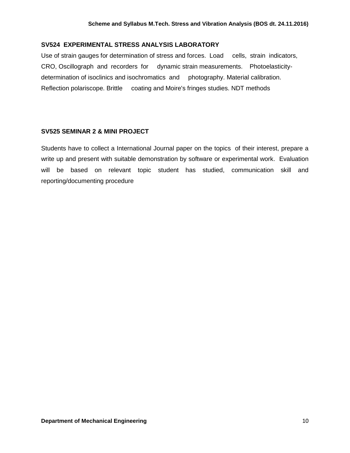#### **SV524 EXPERIMENTAL STRESS ANALYSIS LABORATORY**

Use of strain gauges for determination of stress and forces. Load cells, strain indicators, CRO, Oscillograph and recorders for dynamic strain measurements. Photoelasticitydetermination of isoclinics and isochromatics and photography. Material calibration. Reflection polariscope. Brittle coating and Moire's fringes studies. NDT methods

#### **SV525 SEMINAR 2 & MINI PROJECT**

Students have to collect a International Journal paper on the topics of their interest, prepare a write up and present with suitable demonstration by software or experimental work. Evaluation will be based on relevant topic student has studied, communication skill and reporting/documenting procedure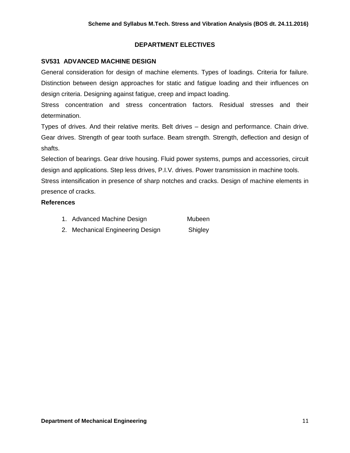## **DEPARTMENT ELECTIVES**

## **SV531 ADVANCED MACHINE DESIGN**

General consideration for design of machine elements. Types of loadings. Criteria for failure. Distinction between design approaches for static and fatigue loading and their influences on design criteria. Designing against fatigue, creep and impact loading.

Stress concentration and stress concentration factors. Residual stresses and their determination.

Types of drives. And their relative merits. Belt drives – design and performance. Chain drive. Gear drives. Strength of gear tooth surface. Beam strength. Strength, deflection and design of shafts.

Selection of bearings. Gear drive housing. Fluid power systems, pumps and accessories, circuit design and applications. Step less drives, P.I.V. drives. Power transmission in machine tools.

Stress intensification in presence of sharp notches and cracks. Design of machine elements in presence of cracks.

## **References**

| 1. Advanced Machine Design       | Mubeen  |
|----------------------------------|---------|
| 2. Mechanical Engineering Design | Shigley |

**Department of Mechanical Engineering 11 and 2008 12 and 2008 12 and 2008 12 and 2008 12 and 2008 12 and 2008 12 and 2008 12 and 2008 12 and 2008 12 and 2008 12 and 2008 12 and 2008 12 and 2008 12 and 2008 12 and 2008 12 a**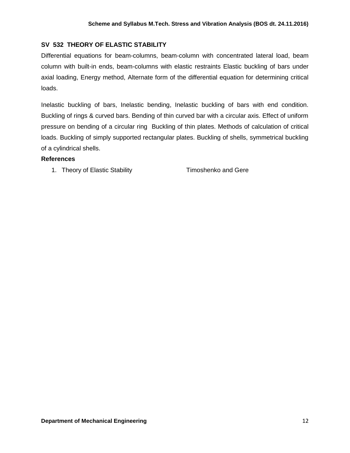## **SV 532 THEORY OF ELASTIC STABILITY**

Differential equations for beam-columns, beam-column with concentrated lateral load, beam column with built-in ends, beam-columns with elastic restraints Elastic buckling of bars under axial loading, Energy method, Alternate form of the differential equation for determining critical loads.

Inelastic buckling of bars, Inelastic bending, Inelastic buckling of bars with end condition. Buckling of rings & curved bars. Bending of thin curved bar with a circular axis. Effect of uniform pressure on bending of a circular ring Buckling of thin plates. Methods of calculation of critical loads. Buckling of simply supported rectangular plates. Buckling of shells, symmetrical buckling of a cylindrical shells.

#### **References**

1. Theory of Elastic Stability **Theory of Elastic Stability Timoshenko and Gere**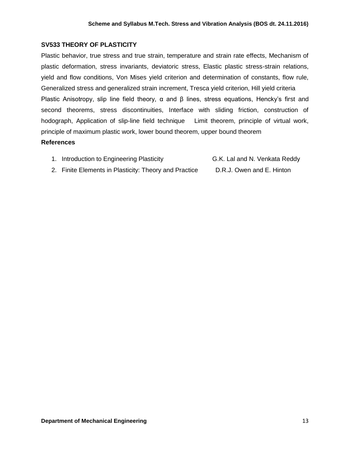## **SV533 THEORY OF PLASTICITY**

Plastic behavior, true stress and true strain, temperature and strain rate effects, Mechanism of plastic deformation, stress invariants, deviatoric stress, Elastic plastic stress-strain relations, yield and flow conditions, Von Mises yield criterion and determination of constants, flow rule, Generalized stress and generalized strain increment, Tresca yield criterion, Hill yield criteria Plastic Anisotropy, slip line field theory,  $\alpha$  and  $\beta$  lines, stress equations, Hencky's first and second theorems, stress discontinuities, Interface with sliding friction, construction of hodograph, Application of slip-line field technique Limit theorem, principle of virtual work, principle of maximum plastic work, lower bound theorem, upper bound theorem

- 1. Introduction to Engineering Plasticity G.K. Lal and N. Venkata Reddy
- 
- 2. Finite Elements in Plasticity: Theory and Practice D.R.J. Owen and E. Hinton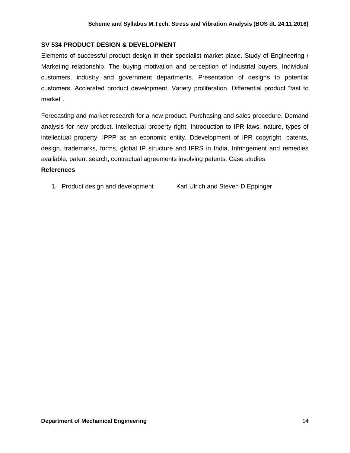## **SV 534 PRODUCT DESIGN & DEVELOPMENT**

Elements of successful product design in their specialist market place. Study of Engineering / Marketing relationship. The buying motivation and perception of industrial buyers. Individual customers, industry and government departments. Presentation of designs to potential customers. Acclerated product development. Variety proliferation. Differential product "fast to market".

Forecasting and market research for a new product. Purchasing and sales procedure. Demand analysis for new product. Intellectual property right. Introduction to IPR laws, nature, types of intellectual property, IPPP as an economic entity. Ddevelopment of IPR copyright, patents, design, trademarks, forms, global IP structure and IPRS in India, Infringement and remedies available, patent search, contractual agreements involving patents. Case studies **References** 

1. Product design and development Karl Ulrich and Steven D Eppinger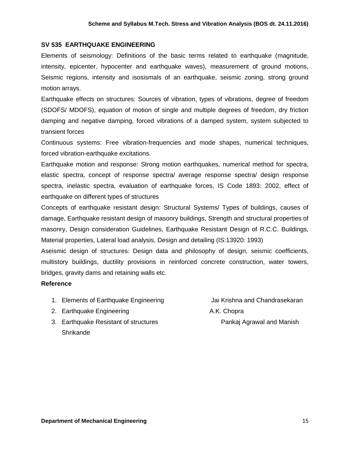#### **SV 535 EARTHQUAKE ENGINEERING**

Elements of seismology: Definitions of the basic terms related to earthquake (magnitude, intensity, epicenter, hypocenter and earthquake waves), measurement of ground motions, Seismic regions, intensity and isosismals of an earthquake, seismic zoning, strong ground motion arrays.

Earthquake effects on structures: Sources of vibration, types of vibrations, degree of freedom (SDOFS/ MDOFS), equation of motion of single and multiple degrees of freedom, dry friction damping and negative damping, forced vibrations of a damped system, system subjected to transient forces

Continuous systems: Free vibration-frequencies and mode shapes, numerical techniques, forced vibration-earthquake excitations.

Earthquake motion and response: Strong motion earthquakes, numerical method for spectra, elastic spectra, concept of response spectra/ average response spectra/ design response spectra, inelastic spectra, evaluation of earthquake forces, IS Code 1893: 2002, effect of earthquake on different types of structures

Concepts of earthquake resistant design: Structural Systems/ Types of buildings, causes of damage, Earthquake resistant design of masonry buildings, Strength and structural properties of masonry, Design consideration Guidelines, Earthquake Resistant Design of R.C.C. Buildings, Material properties, Lateral load analysis, Design and detailing (IS:13920: 1993)

Aseismic design of structures: Design data and philosophy of design, seismic coefficients, multistory buildings, ductility provisions in reinforced concrete construction, water towers, bridges, gravity dams and retaining walls etc.

- 1. Elements of Earthquake Engineering **Frankling State Landard Chandrasekaran**
- 2. Earthquake Engineering **A.K.** Chopra
- 3. Earthquake Resistant of structures **Pankaj Agrawal and Manish** Shrikande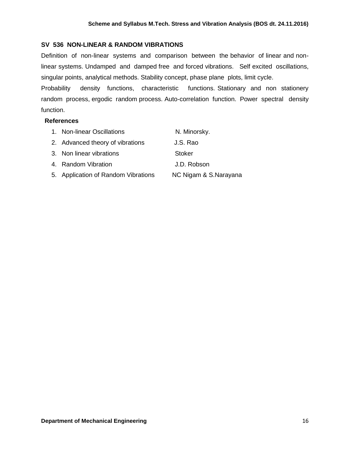#### **SV 536 NON-LINEAR & RANDOM VIBRATIONS**

Definition of non-linear systems and comparison between the behavior of linear and nonlinear systems. Undamped and damped free and forced vibrations. Self excited oscillations, singular points, analytical methods. Stability concept, phase plane plots, limit cycle.

Probability density functions, characteristic functions. Stationary and non stationery random process, ergodic random process. Auto-correlation function. Power spectral density function.

| 1. Non-linear Oscillations          | N. Minorsky.          |
|-------------------------------------|-----------------------|
| 2. Advanced theory of vibrations    | J.S. Rao              |
| 3. Non linear vibrations            | Stoker                |
| 4. Random Vibration                 | J.D. Robson           |
| 5. Application of Random Vibrations | NC Nigam & S.Narayana |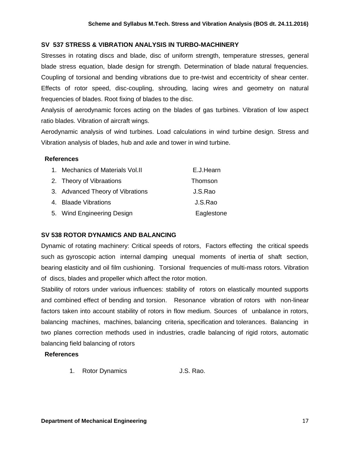## **SV 537 STRESS & VIBRATION ANALYSIS IN TURBO-MACHINERY**

Stresses in rotating discs and blade, disc of uniform strength, temperature stresses, general blade stress equation, blade design for strength. Determination of blade natural frequencies. Coupling of torsional and bending vibrations due to pre-twist and eccentricity of shear center. Effects of rotor speed, disc-coupling, shrouding, lacing wires and geometry on natural frequencies of blades. Root fixing of blades to the disc.

Analysis of aerodynamic forces acting on the blades of gas turbines. Vibration of low aspect ratio blades. Vibration of aircraft wings.

Aerodynamic analysis of wind turbines. Load calculations in wind turbine design. Stress and Vibration analysis of blades, hub and axle and tower in wind turbine.

#### **References**

| 1. Mechanics of Materials Vol. II | E.J.Hearn  |
|-----------------------------------|------------|
| 2. Theory of Vibraations          | Thomson    |
| 3. Advanced Theory of Vibrations  | J.S.Rao    |
| 4. Blaade Vibrations              | J.S.Rao    |
| 5. Wind Engineering Design        | Eaglestone |

## **SV 538 ROTOR DYNAMICS AND BALANCING**

Dynamic of rotating machinery: Critical speeds of rotors, Factors effecting the critical speeds such as gyroscopic action internal damping unequal moments of inertia of shaft section, bearing elasticity and oil film cushioning. Torsional frequencies of multi-mass rotors. Vibration of discs, blades and propeller which affect the rotor motion.

Stability of rotors under various influences: stability of rotors on elastically mounted supports and combined effect of bending and torsion. Resonance vibration of rotors with non-linear factors taken into account stability of rotors in flow medium. Sources of unbalance in rotors, balancing machines, machines, balancing criteria, specification and tolerances. Balancing in two planes correction methods used in industries, cradle balancing of rigid rotors, automatic balancing field balancing of rotors

#### **References**

1. Rotor Dynamics J.S. Rao.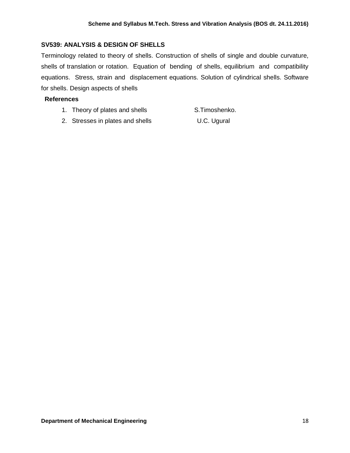#### **SV539: ANALYSIS & DESIGN OF SHELLS**

Terminology related to theory of shells. Construction of shells of single and double curvature, shells of translation or rotation. Equation of bending of shells, equilibrium and compatibility equations. Stress, strain and displacement equations. Solution of cylindrical shells. Software for shells. Design aspects of shells

- 1. Theory of plates and shells S.Timoshenko.
- 2. Stresses in plates and shells U.C. Ugural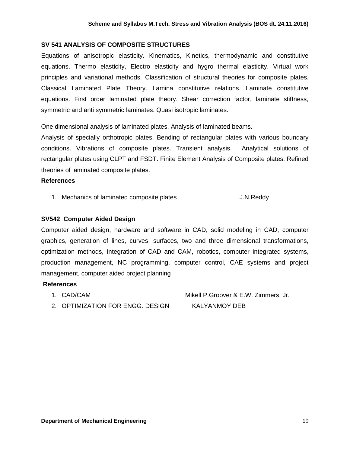## **SV 541 ANALYSIS OF COMPOSITE STRUCTURES**

Equations of anisotropic elasticity. Kinematics, Kinetics, thermodynamic and constitutive equations. Thermo elasticity, Electro elasticity and hygro thermal elasticity. Virtual work principles and variational methods. Classification of structural theories for composite plates. Classical Laminated Plate Theory. Lamina constitutive relations. Laminate constitutive equations. First order laminated plate theory. Shear correction factor, laminate stiffness, symmetric and anti symmetric laminates. Quasi isotropic laminates.

One dimensional analysis of laminated plates. Analysis of laminated beams.

Analysis of specially orthotropic plates. Bending of rectangular plates with various boundary conditions. Vibrations of composite plates. Transient analysis. Analytical solutions of rectangular plates using CLPT and FSDT. Finite Element Analysis of Composite plates. Refined theories of laminated composite plates.

#### **References**

1. Mechanics of laminated composite plates **J.N.Reddy** 

## **SV542 Computer Aided Design**

Computer aided design, hardware and software in CAD, solid modeling in CAD, computer graphics, generation of lines, curves, surfaces, two and three dimensional transformations, optimization methods, Integration of CAD and CAM, robotics, computer integrated systems, production management, NC programming, computer control, CAE systems and project management, computer aided project planning

#### **References**

- 
- 2. OPTIMIZATION FOR ENGG. DESIGN KALYANMOY DEB

1. CAD/CAM Mikell P.Groover & E.W. Zimmers, Jr.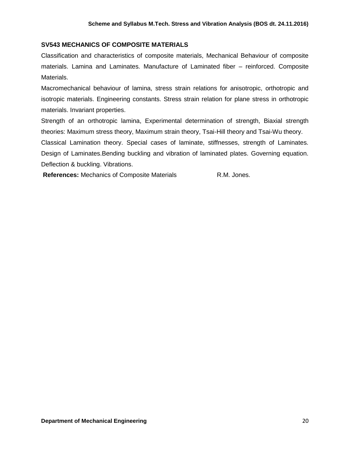## **SV543 MECHANICS OF COMPOSITE MATERIALS**

Classification and characteristics of composite materials, Mechanical Behaviour of composite materials. Lamina and Laminates. Manufacture of Laminated fiber – reinforced. Composite Materials.

Macromechanical behaviour of lamina, stress strain relations for anisotropic, orthotropic and isotropic materials. Engineering constants. Stress strain relation for plane stress in orthotropic materials. Invariant properties.

Strength of an orthotropic lamina, Experimental determination of strength, Biaxial strength theories: Maximum stress theory, Maximum strain theory, Tsai-Hill theory and Tsai-Wu theory.

Classical Lamination theory. Special cases of laminate, stiffnesses, strength of Laminates. Design of Laminates.Bending buckling and vibration of laminated plates. Governing equation. Deflection & buckling. Vibrations.

**References:** Mechanics of Composite Materials **R.M. Jones.**